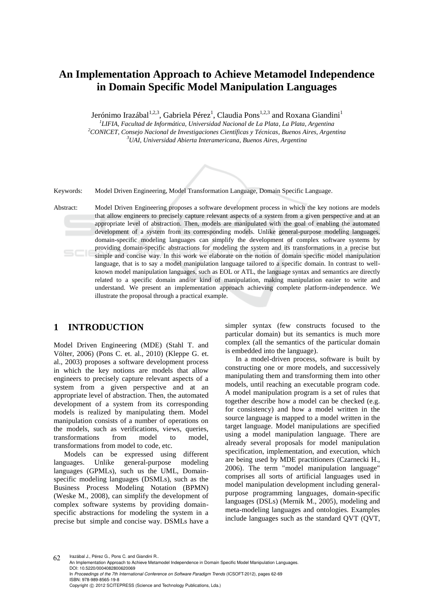# **An Implementation Approach to Achieve Metamodel Independence in Domain Specific Model Manipulation Languages**

Jerónimo Irazábal<sup>1,2,3</sup>, Gabriela Pérez<sup>1</sup>, Claudia Pons<sup>1,2,3</sup> and Roxana Giandini<sup>1</sup>

*1 LIFIA, Facultad de Informática, Universidad Nacional de La Plata, La Plata, Argentina <sup>2</sup>CONICET, Consejo Nacional de Investigaciones Científicas y Técnicas, Buenos Aires, Argentina <sup>3</sup>UAI, Universidad Abierta Interamericana, Buenos Aires, Argentina*



Keywords: Model Driven Engineering, Model Transformation Language, Domain Specific Language.

Abstract: Model Driven Engineering proposes a software development process in which the key notions are models that allow engineers to precisely capture relevant aspects of a system from a given perspective and at an appropriate level of abstraction. Then, models are manipulated with the goal of enabling the automated development of a system from its corresponding models. Unlike general-purpose modeling languages, domain-specific modeling languages can simplify the development of complex software systems by providing domain-specific abstractions for modeling the system and its transformations in a precise but simple and concise way. In this work we elaborate on the notion of domain specific model manipulation language, that is to say a model manipulation language tailored to a specific domain. In contrast to wellknown model manipulation languages, such as EOL or ATL, the language syntax and semantics are directly related to a specific domain and/or kind of manipulation, making manipulation easier to write and understand. We present an implementation approach achieving complete platform-independence. We illustrate the proposal through a practical example.

### **1 INTRODUCTION**

Model Driven Engineering (MDE) (Stahl T. and Völter, 2006) (Pons C. et. al., 2010) (Kleppe G. et. al., 2003) proposes a software development process in which the key notions are models that allow engineers to precisely capture relevant aspects of a system from a given perspective and at an appropriate level of abstraction. Then, the automated development of a system from its corresponding models is realized by manipulating them. Model manipulation consists of a number of operations on the models, such as verifications, views, queries, transformations from model to model, transformations from model to code, etc.

Models can be expressed using different languages. Unlike general-purpose modeling languages (GPMLs), such us the UML, Domainspecific modeling languages (DSMLs), such as the Business Process Modeling Notation (BPMN) (Weske M., 2008), can simplify the development of complex software systems by providing domainspecific abstractions for modeling the system in a precise but simple and concise way. DSMLs have a

simpler syntax (few constructs focused to the particular domain) but its semantics is much more complex (all the semantics of the particular domain is embedded into the language).

In a model-driven process, software is built by constructing one or more models, and successively manipulating them and transforming them into other models, until reaching an executable program code. A model manipulation program is a set of rules that together describe how a model can be checked (e.g. for consistency) and how a model written in the source language is mapped to a model written in the target language. Model manipulations are specified using a model manipulation language. There are already several proposals for model manipulation specification, implementation, and execution, which are being used by MDE practitioners (Czarnecki H., 2006). The term "model manipulation language" comprises all sorts of artificial languages used in model manipulation development including generalpurpose programming languages, domain-specific languages (DSLs) (Mernik M., 2005), modeling and meta-modeling languages and ontologies. Examples include languages such as the standard QVT (QVT,

62 Irazábal J., Pérez G., Pons C. and Giandini R.. An Implementation Approach to Achieve Metamodel Independence in Domain Specific Model Manipulation Languages. DOI: 10.5220/0004082800620069 In *Proceedings of the 7th International Conference on Software Paradigm Trends* (ICSOFT-2012), pages 62-69 ISBN: 978-989-8565-19-8

Copyright © 2012 SCITEPRESS (Science and Technology Publications, Lda.)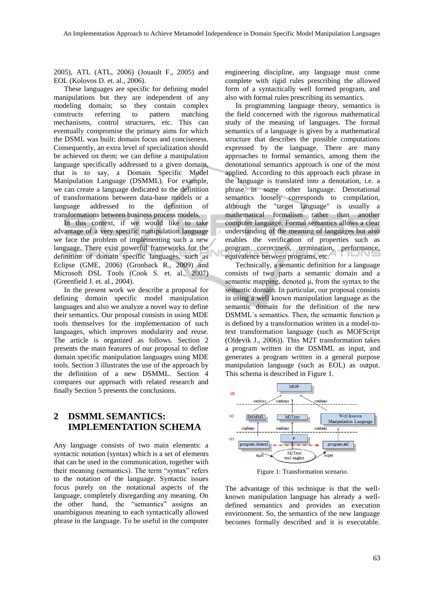2005), ATL (ATL, 2006) (Jouault F., 2005) and EOL (Kolovos D. et. al., 2006).

These languages are specific for defining model manipulations but they are independent of any modeling domain; so they contain complex constructs referring to pattern matching mechanisms, control structures, etc. This can eventually compromise the primary aims for which the DSML was built: domain focus and conciseness. Consequently, an extra level of specialization should be achieved on them; we can define a manipulation language specifically addressed to a given domain, that is to say, a Domain Specific Model Manipulation Language (DSMML). For example, we can create a language dedicated to the definition of transformations between data-base models or a language addressed to the definition of transformations between business process models.

In this context, if we would like to take advantage of a very specific manipulation language we face the problem of implementing such a new language. There exist powerful frameworks for the definition of domain specific languages, such as Eclipse (GME, 2006) (Gronback R., 2009) and Microsoft DSL Tools (Cook S. et. al., 2007) (Greenfield J. et. al., 2004).

In the present work we describe a proposal for defining domain specific model manipulation languages and also we analyze a novel way to define their semantics. Our proposal consists in using MDE tools themselves for the implementation of such languages, which improves modularity and reuse. The article is organized as follows. Section 2 presents the main features of our proposal to define domain specific manipulation languages using MDE tools. Section 3 illustrates the use of the approach by the definition of a new DSMML. Section 4 compares our approach with related research and finally Section 5 presents the conclusions.

## **2 DSMML SEMANTICS: IMPLEMENTATION SCHEMA**

Any language consists of two main elements: a syntactic notation (syntax) which is a set of elements that can be used in the communication, together with their meaning (semantics). The term "syntax" refers to the notation of the language. Syntactic issues focus purely on the notational aspects of the language, completely disregarding any meaning. On the other hand, the "semantics" assigns an unambiguous meaning to each syntactically allowed phrase in the language. To be useful in the computer

engineering discipline, any language must come complete with rigid rules prescribing the allowed form of a syntactically well formed program, and also with formal rules prescribing its semantics.

In programming language theory, semantics is the field concerned with the rigorous mathematical study of the meaning of languages. The formal semantics of a language is given by a mathematical structure that describes the possible computations expressed by the language. There are many approaches to formal semantics, among them the denotational semantics approach is one of the most applied. According to this approach each phrase in the language is translated into a denotation, i.e. a phrase in some other language. Denotational semantics loosely corresponds to compilation, although the "target language" is usually a mathematical formalism rather than another computer language. Formal semantics allows a clear understanding of the meaning of languages but also enables the verification of properties such as program correctness, termination, performance, equivalence between programs, etc.

Technically, a semantic definition for a language consists of two parts a semantic domain and a semantic mapping, denoted μ, from the syntax to the semantic domain. In particular, our proposal consists in using a well known manipulation language as the semantic domain for the definition of the new DSMML´s semantics. Then, the semantic function μ is defined by a transformation written in a model-totext transformation language (such as MOFScript (Oldevik J., 2006)). This M2T transformation takes a program written in the DSMML as input, and generates a program written in a general purpose manipulation language (such as EOL) as output. This schema is described in Figure 1.



Figure 1: Transformation scenario.

The advantage of this technique is that the wellknown manipulation language has already a welldefined semantics and provides an execution environment. So, the semantics of the new language becomes formally described and it is executable.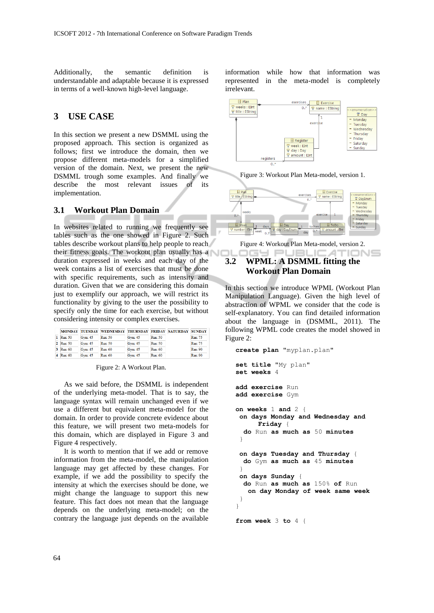Additionally, the semantic definition is understandable and adaptable because it is expressed in terms of a well-known high-level language.

### **3 USE CASE**

In this section we present a new DSMML using the proposed approach. This section is organized as follows; first we introduce the domain, then we propose different meta-models for a simplified version of the domain. Next, we present the new DSMML trough some examples. And finally we describe the most relevant issues of its implementation.

#### **3.1 Workout Plan Domain**

In websites related to running we frequently see tables such as the one showed in Figure 2. Such tables describe workout plans to help people to reach their fitness goals. The workout plan usually has a duration expressed in weeks and each day of the week contains a list of exercises that must be done with specific requirements, such as intensity and duration. Given that we are considering this domain just to exemplify our approach, we will restrict its functionality by giving to the user the possibility to specify only the time for each exercise, but without considering intensity or complex exercises.

|   | <b>MONDAY</b>  |                | TUESDAY WEDNESDAY THURSDAY FRIDAY SATURDAY |         |                | <b>SUNDAY</b> |
|---|----------------|----------------|--------------------------------------------|---------|----------------|---------------|
|   | <b>Run:</b> 50 | <b>Gym: 45</b> | <b>Run:</b> 50                             | Gym: 45 | <b>Run:</b> 50 | Run: 75       |
|   | Run: 50        | Gym: 45        | Run: 50                                    | Gym: 45 | <b>Run:</b> 50 | Run: 75       |
| 3 | Run: 60        | Gym: 45        | <b>Run: 60</b>                             | Gym: 45 | <b>Run: 60</b> | Run: 90       |
|   | Run: 60        | Gym: 45        | Run: 60                                    | Gym: 45 | Run: 60        | Run: 90       |

Figure 2: A Workout Plan.

As we said before, the DSMML is independent of the underlying meta-model. That is to say, the language syntax will remain unchanged even if we use a different but equivalent meta-model for the domain. In order to provide concrete evidence about this feature, we will present two meta-models for this domain, which are displayed in Figure 3 and Figure 4 respectively.

It is worth to mention that if we add or remove information from the meta-model, the manipulation language may get affected by these changes. For example, if we add the possibility to specify the intensity at which the exercises should be done, we might change the language to support this new feature. This fact does not mean that the language depends on the underlying meta-model; on the contrary the language just depends on the available information while how that information was represented in the meta-model is completely irrelevant.



Figure 3: Workout Plan Meta-model, version 1.



Figure 4: Workout Plan Meta-model, version 2.

#### GY PUBLIO : ATIONS **3.2 WPML: A DSMML fitting the Workout Plan Domain**

In this section we introduce WPML (Workout Plan Manipulation Language). Given the high level of abstraction of WPML we consider that the code is self-explanatory. You can find detailed information about the language in (DSMML, 2011). The following WPML code creates the model showed in Figure 2:

```
create plan "myplan.plan"
set title "My plan"
set weeks 4
add exercise Run
add exercise Gym
on weeks 1 and 2 {
on days Monday and Wednesday and
     Friday {
 do Run as much as 50 minutes
 }
on days Tuesday and Thursday {
  do Gym as much as 45 minutes
 } 
on days Sunday {
  do Run as much as 150% of Run 
    on day Monday of week same week
 }
} 
from week 3 to 4 {
```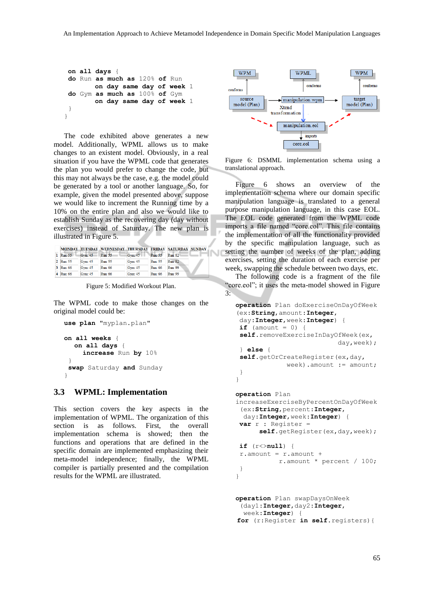NI

```
on all days {
do Run as much as 120% of Run 
        on day same day of week 1
do Gym as much as 100% of Gym 
       on day same day of week 1
}
}
```
The code exhibited above generates a new model. Additionally, WPML allows us to make changes to an existent model. Obviously, in a real situation if you have the WPML code that generates the plan you would prefer to change the code, but this may not always be the case, e.g. the model could be generated by a tool or another language. So, for example, given the model presented above, suppose we would like to increment the Running time by a 10% on the entire plan and also we would like to establish Sunday as the recovering day (day without exercises) instead of Saturday. The new plan is illustrated in Figure 5.

|           |         | MONDAY TUESDAY WEDNESDAY THURSDAY FRIDAY SATURDAY SUNDAY |                |         |                |  |
|-----------|---------|----------------------------------------------------------|----------------|---------|----------------|--|
| 1 Run: 55 | Gym: 45 | Run: 55                                                  | Gvm: 45        | Run: 55 | <b>Run: 82</b> |  |
| 2 Run: 55 | Gym: 45 | Run: 55                                                  | Gym: 45        | Run: 55 | Run: 82        |  |
| 3 Run: 66 | Gym: 45 | Run: 66                                                  | <b>Gym: 45</b> | Run: 66 | Run: 99        |  |
| 4 Run: 66 | Gym: 45 | Run: 66                                                  | <b>Gym: 45</b> | Run: 66 | Run: 99        |  |

Figure 5: Modified Workout Plan.

The WPML code to make those changes on the original model could be:

```
use plan "myplan.plan"
on all weeks {
  on all days {
     increase Run by 10%
 }
 swap Saturday and Sunday
}
```
### **3.3 WPML: Implementation**

This section covers the key aspects in the implementation of WPML. The organization of this section is as follows. First, the overall implementation schema is showed; then the functions and operations that are defined in the specific domain are implemented emphasizing their meta-model independence; finally, the WPML compiler is partially presented and the compilation results for the WPML are illustrated.



Figure 6: DSMML implementation schema using a translational approach.

Figure 6 shows an overview of the implementation schema where our domain specific manipulation language is translated to a general purpose manipulation language, in this case EOL. The EOL code generated from the WPML code imports a file named "core.eol". This file contains the implementation of all the functionality provided by the specific manipulation language, such as setting the number of weeks of the plan, adding exercises, setting the duration of each exercise per week, swapping the schedule between two days, etc.

The following code is a fragment of the file "core.eol"; it uses the meta-model showed in Figure 3:

```
operation Plan doExerciseOnDayOfWeek 
(ex:String,amount:Integer, 
day:Integer,week:Integer) {
if (amount = 0) {
 self.removeExerciseInDayOfWeek(ex,
                            day,week);
} else {
 self.getOrCreateRegister(ex,day,
              week).amount := amount;
}
}
operation Plan 
increaseExerciseByPercentOnDayOfWeek 
(ex:String,percent:Integer,
  day:Integer,week:Integer) {
var r : Register =
      self.getRegister(ex,day,week) ;
if (r<>null) {
r.amount = r.amount +
            r.amount * percent / 100;
 }
}
```

```
operation Plan swapDaysOnWeek 
 (day1:Integer,day2:Integer, 
  week:Integer) {
for (r:Register in self.registers){
```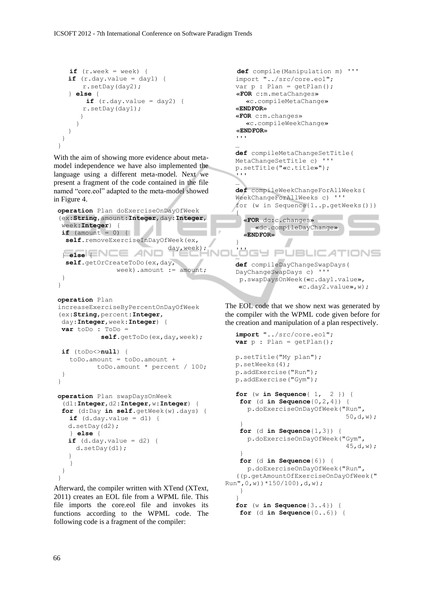```
if (r. week = week) {
   if (r \cdot day \cdot value = day1) {
       r.setDay(day2);
   } else {
        if (r \cdot day \cdot value = day2) {
       r.setDay(day1);
    }
      }
   }
  }
}
```
With the aim of showing more evidence about metamodel independence we have also implemented the language using a different meta-model. Next we present a fragment of the code contained in the file named "core.eol" adapted to the meta-model showed in Figure 4.

```
operation Plan doExerciseOnDayOfWeek 
(ex:String,amount:Integer,day:Integer,
  week:Integer) {
 if (amount = 0) {
   self.removeExerciseInDayOfWeek(ex,
day, week);
 } else {
   self.getOrCreateToDo(ex,day,
                week).amount := amount;
  }
}
operation Plan 
increaseExerciseByPercentOnDayOfWeek 
 (ex:String,percent:Integer,
  day:Integer,week:Integer) {
  var toDo : ToDo =
            self.getToDo(ex,day,week);
  if (toDo<>null) {
    toDo.amount = toDo.amount +
           toDo.amount * percent / 100;
  }
}
operation Plan swapDaysOnWeek 
   (d1:Integer,d2:Integer,w:Integer) {
  for (d:Day in self.getWeek(w).days) {
   if (d/day.value = d1)d.setDay(d2);
    } else {
   if (d.day.value = d2) {
      d.setDay(d1);
```
} Afterward, the compiler written with XTend (XText, 2011) creates an EOL file from a WPML file. This file imports the core.eol file and invokes its functions according to the WPML code. The following code is a fragment of the compiler:

```
 def compile(Manipulation m) '''
import "../src/core.eol";
var p : Plan = getPlan();
«FOR c:m.metaChanges»
  «c.compileMetaChange»
«ENDFOR»
«FOR c:m.changes»
  «c.compileWeekChange»
«ENDFOR»
\mathbf{r} \mathbf{r}…
def compileMetaChangeSetTitle(
MetaChangeSetTitle c) '''
p.setTitle("«c.title»");
'''…
def compileWeekChangeForAllWeeks(
WeekChangeForAllWeeks c) '''
for (w in Sequence{1..p.getWeeks()}) 
{
   «FOR dc:c.changes»
      «dc.compileDayChange» 
   «ENDFOR»
}<br><u>¦</u>
               JBLIC
```

```
def compileDayChangeSwapDays(
DayChangeSwapDays c) ''' 
p.swapDaysOnWeek(«c.day1.value»,
                 «c.day2.value»,w);
```
The EOL code that we show next was generated by the compiler with the WPML code given before for the creation and manipulation of a plan respectively.

```
import "../src/core.eol";
   var p : Plan = getPlan();
  p.setTitle("My plan");
  p.setWeeks(4);
   p.addExercise("Run");
   p.addExercise("Gym");
   for (w in Sequence{ 1, 2 }) {
    for (d in Sequence{0,2,4}) {
       p.doExerciseOnDayOfWeek("Run",
                                   50,d,w); 
    } 
    for (d in Sequence{1,3}) {
       p.doExerciseOnDayOfWeek("Gym",
                                  45, \mbox{\tt d}, \mbox{\tt w}) ;
    } 
    for (d in Sequence{6}) {
       p.doExerciseOnDayOfWeek("Run",
   ((p.getAmountOfExerciseOnDayOfWeek("
Run'', 0, w)) *150/100), d, w);
   } 
   } 
  for (w in Sequence{3..4}) {
   for (d in Sequence{0..6}) {
```
} } }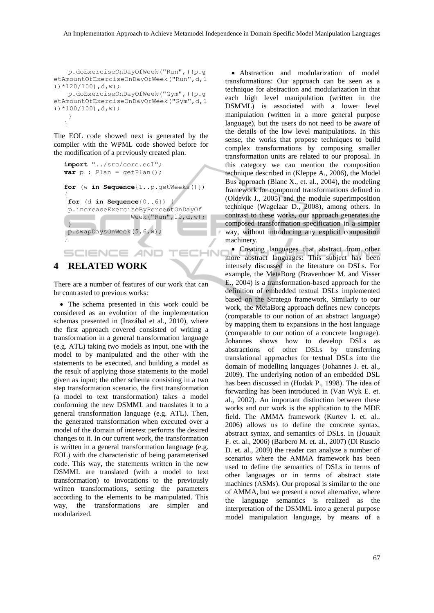ECHN

```
p.doExerciseOnDayOfWeek("Run",((p.g
etAmountOfExerciseOnDayOfWeek("Run",d,1
) *120/100, d, w);
   p.doExerciseOnDayOfWeek("Gym",((p.g
etAmountOfExerciseOnDayOfWeek("Gym",d,1
) *100/100, d, w);
   }
  }
```
The EOL code showed next is generated by the compiler with the WPML code showed before for the modification of a previously created plan.

```
import "../src/core.eol";
var p : Plan = getPlan();
for (w in Sequence{1..p.getWeeks()}) 
{
 for (d in Sequence{0..6}) {
 p.increaseExerciseByPercentOnDayOf
                  Week("Run",10,d,w);
 }
p.swapDaysOnWeek(5,6,w); 
}
```
### **4 RELATED WORK**

There are a number of features of our work that can be contrasted to previous works:

 The schema presented in this work could be considered as an evolution of the implementation schemas presented in (Irazábal et al., 2010), where the first approach covered consisted of writing a transformation in a general transformation language (e.g. ATL) taking two models as input, one with the model to by manipulated and the other with the statements to be executed, and building a model as the result of applying those statements to the model given as input; the other schema consisting in a two step transformation scenario, the first transformation (a model to text transformation) takes a model conforming the new DSMML and translates it to a general transformation language (e.g. ATL). Then, the generated transformation when executed over a model of the domain of interest performs the desired changes to it. In our current work, the transformation is written in a general transformation language (e.g. EOL) with the characteristic of being parameterised code. This way, the statements written in the new DSMML are translated (with a model to text transformation) to invocations to the previously written transformations, setting the parameters according to the elements to be manipulated. This way, the transformations are simpler and modularized.

 Abstraction and modularization of model transformations: Our approach can be seen as a technique for abstraction and modularization in that each high level manipulation (written in the DSMML) is associated with a lower level manipulation (written in a more general purpose language), but the users do not need to be aware of the details of the low level manipulations. In this sense, the works that propose techniques to build complex transformations by composing smaller transformation units are related to our proposal. In this category we can mention the composition technique described in (Kleppe A., 2006), the Model Bus approach (Blanc X., et. al., 2004), the modeling framework for compound transformations defined in (Oldevik J., 2005) and the module superimposition technique (Wagelaar D., 2008), among others. In contrast to these works, our approach generates the composed transformation specification in a simpler way, without introducing any explicit composition machinery.

 Creating languages that abstract from other more abstract languages: This subject has been intensely discussed in the literature on DSLs. For example, the MetaBorg (Bravenboer M. and Visser E., 2004) is a transformation-based approach for the definition of embedded textual DSLs implemented based on the Stratego framework. Similarly to our work, the MetaBorg approach defines new concepts (comparable to our notion of an abstract language) by mapping them to expansions in the host language (comparable to our notion of a concrete language). Johannes shows how to develop DSLs as abstractions of other DSLs by transferring translational approaches for textual DSLs into the domain of modelling languages (Johannes J. et. al., 2009). The underlying notion of an embedded DSL has been discussed in (Hudak P., 1998). The idea of forwarding has been introduced in (Van Wyk E. et. al., 2002). An important distinction between these works and our work is the application to the MDE field. The AMMA framework (Kurtev I. et. al., 2006) allows us to define the concrete syntax, abstract syntax, and semantics of DSLs. In (Jouault F. et. al., 2006) (Barbero M. et. al., 2007) (Di Ruscio D. et. al., 2009) the reader can analyze a number of scenarios where the AMMA framework has been used to define the semantics of DSLs in terms of other languages or in terms of abstract state machines (ASMs). Our proposal is similar to the one of AMMA, but we present a novel alternative, where the language semantics is realized as the interpretation of the DSMML into a general purpose model manipulation language, by means of a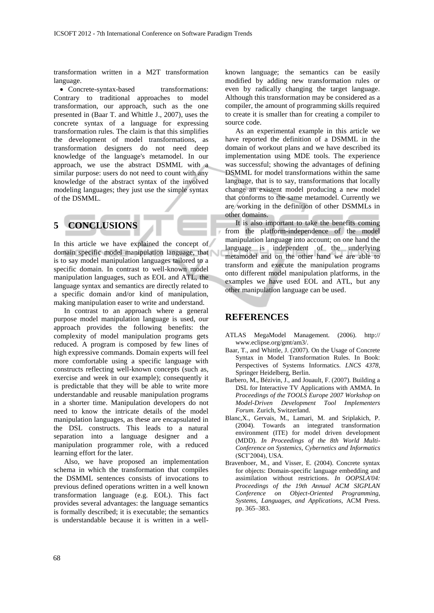transformation written in a M2T transformation language.

• Concrete-syntax-based transformations: Contrary to traditional approaches to model transformation, our approach, such as the one presented in (Baar T. and Whittle J., 2007), uses the concrete syntax of a language for expressing transformation rules. The claim is that this simplifies the development of model transformations, as transformation designers do not need deep knowledge of the language's metamodel. In our approach, we use the abstract DSMML with a similar purpose: users do not need to count with any knowledge of the abstract syntax of the involved modeling languages; they just use the simple syntax of the DSMML.

# **5 CONCLUSIONS**

In this article we have explained the concept of domain specific model manipulation language, that is to say model manipulation languages tailored to a specific domain. In contrast to well-known model manipulation languages, such as EOL and ATL, the language syntax and semantics are directly related to a specific domain and/or kind of manipulation, making manipulation easer to write and understand.

In contrast to an approach where a general purpose model manipulation language is used, our approach provides the following benefits: the complexity of model manipulation programs gets reduced. A program is composed by few lines of high expressive commands. Domain experts will feel more comfortable using a specific language with constructs reflecting well-known concepts (such as, exercise and week in our example); consequently it is predictable that they will be able to write more understandable and reusable manipulation programs in a shorter time. Manipulation developers do not need to know the intricate details of the model manipulation languages, as these are encapsulated in the DSL constructs. This leads to a natural separation into a language designer and a manipulation programmer role, with a reduced learning effort for the later.

Also, we have proposed an implementation schema in which the transformation that compiles the DSMML sentences consists of invocations to previous defined operations written in a well known transformation language (e.g. EOL). This fact provides several advantages: the language semantics is formally described; it is executable; the semantics is understandable because it is written in a wellknown language; the semantics can be easily modified by adding new transformation rules or even by radically changing the target language. Although this transformation may be considered as a compiler, the amount of programming skills required to create it is smaller than for creating a compiler to source code.

As an experimental example in this article we have reported the definition of a DSMML in the domain of workout plans and we have described its implementation using MDE tools. The experience was successful; showing the advantages of defining DSMML for model transformations within the same language, that is to say, transformations that locally change an existent model producing a new model that conforms to the same metamodel. Currently we are working in the definition of other DSMMLs in other domains.

It is also important to take the benefits coming from the platform-independence of the model manipulation language into account; on one hand the language is independent of the underlying metamodel and on the other hand we are able to transform and execute the manipulation programs onto different model manipulation platforms, in the examples we have used EOL and ATL, but any other manipulation language can be used.

### **REFERENCES**

- ATLAS MegaModel Management. (2006). http:// www.eclipse.org/gmt/am3/.
- Baar, T., and Whittle, J. (2007). On the Usage of Concrete Syntax in Model Transformation Rules. In Book: Perspectives of Systems Informatics. *LNCS 4378*, Springer Heidelberg, Berlin.
- Barbero, M., Bézivin, J., and Jouault, F. (2007). Building a DSL for Interactive TV Applications with AMMA. In *Proceedings of the TOOLS Europe 2007 Workshop on Model-Driven Development Tool Implementers Forum.* Zurich, Switzerland.
- Blanc,X., Gervais, M., Lamari, M. and Sriplakich, P. (2004). Towards an integrated transformation environment (ITE) for model driven development (MDD). *In Proceedings of the 8th World Multi-Conference on Systemics, Cybernetics and Informatics* (SCI'2004), USA.
- Bravenboer, M., and Visser, E. (2004). Concrete syntax for objects: Domain-specific language embedding and assimilation without restrictions. *In OOPSLA'04: Proceedings of the 19th Annual ACM SIGPLAN Conference on Object-Oriented Programming, Systems, Languages, and Applications*, ACM Press. pp. 365–383.